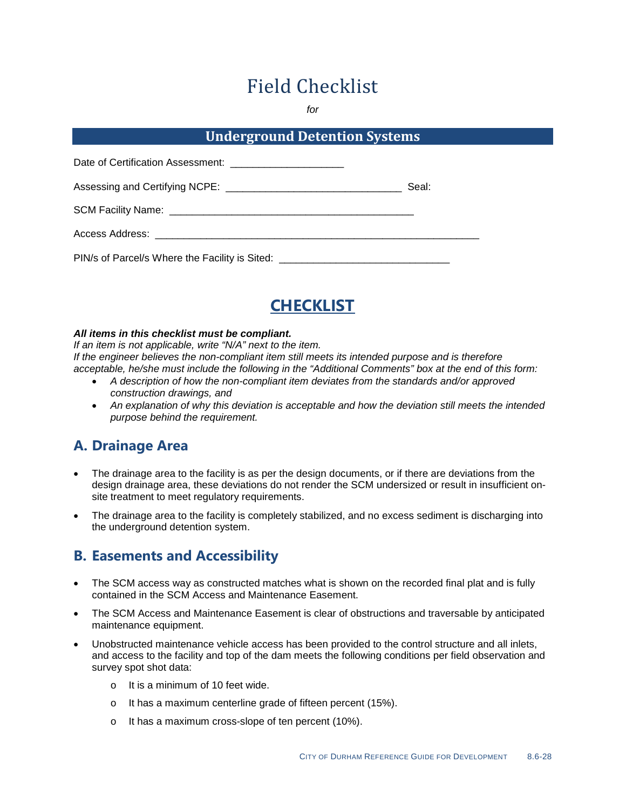# Field Checklist

*for*

#### **Underground Detention Systems**

| Date of Certification Assessment: __________________________                     |       |
|----------------------------------------------------------------------------------|-------|
|                                                                                  | Seal: |
|                                                                                  |       |
| Access Address: _______________________________                                  |       |
| PIN/s of Parcel/s Where the Facility is Sited: _________________________________ |       |



#### *All items in this checklist must be compliant.*

*If an item is not applicable, write "N/A" next to the item. If the engineer believes the non-compliant item still meets its intended purpose and is therefore acceptable, he/she must include the following in the "Additional Comments" box at the end of this form:*

- *A description of how the non-compliant item deviates from the standards and/or approved construction drawings, and*
- *An explanation of why this deviation is acceptable and how the deviation still meets the intended purpose behind the requirement.*

## **A. Drainage Area**

- The drainage area to the facility is as per the design documents, or if there are deviations from the design drainage area, these deviations do not render the SCM undersized or result in insufficient onsite treatment to meet regulatory requirements.
- The drainage area to the facility is completely stabilized, and no excess sediment is discharging into the underground detention system.

### **B. Easements and Accessibility**

- The SCM access way as constructed matches what is shown on the recorded final plat and is fully contained in the SCM Access and Maintenance Easement.
- The SCM Access and Maintenance Easement is clear of obstructions and traversable by anticipated maintenance equipment.
- Unobstructed maintenance vehicle access has been provided to the control structure and all inlets, and access to the facility and top of the dam meets the following conditions per field observation and survey spot shot data:
	- o It is a minimum of 10 feet wide.
	- o It has a maximum centerline grade of fifteen percent (15%).
	- o It has a maximum cross-slope of ten percent (10%).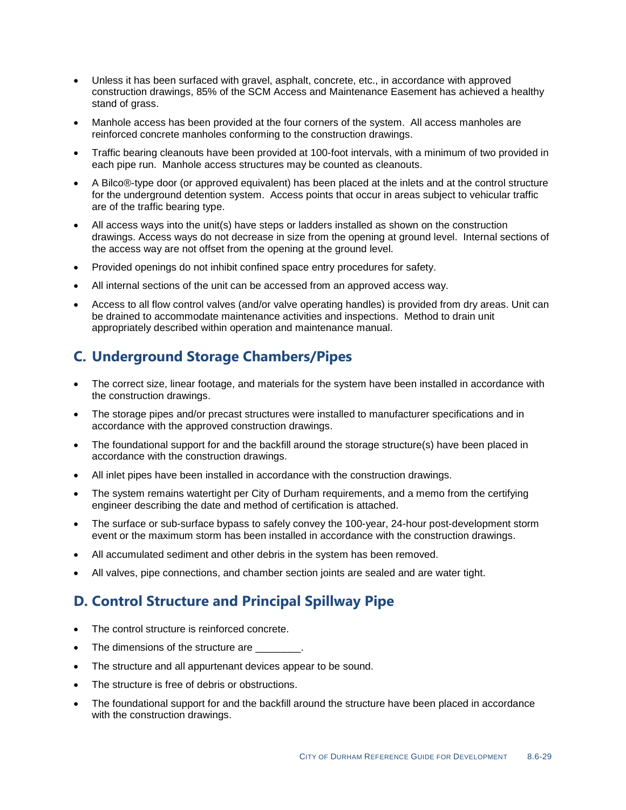- Unless it has been surfaced with gravel, asphalt, concrete, etc., in accordance with approved construction drawings, 85% of the SCM Access and Maintenance Easement has achieved a healthy stand of grass.
- Manhole access has been provided at the four corners of the system. All access manholes are reinforced concrete manholes conforming to the construction drawings.
- Traffic bearing cleanouts have been provided at 100-foot intervals, with a minimum of two provided in each pipe run. Manhole access structures may be counted as cleanouts.
- A Bilco®-type door (or approved equivalent) has been placed at the inlets and at the control structure for the underground detention system. Access points that occur in areas subject to vehicular traffic are of the traffic bearing type.
- All access ways into the unit(s) have steps or ladders installed as shown on the construction drawings. Access ways do not decrease in size from the opening at ground level. Internal sections of the access way are not offset from the opening at the ground level.
- Provided openings do not inhibit confined space entry procedures for safety.
- All internal sections of the unit can be accessed from an approved access way.
- Access to all flow control valves (and/or valve operating handles) is provided from dry areas. Unit can be drained to accommodate maintenance activities and inspections. Method to drain unit appropriately described within operation and maintenance manual.

# **C. Underground Storage Chambers/Pipes**

- The correct size, linear footage, and materials for the system have been installed in accordance with the construction drawings.
- The storage pipes and/or precast structures were installed to manufacturer specifications and in accordance with the approved construction drawings.
- The foundational support for and the backfill around the storage structure(s) have been placed in accordance with the construction drawings.
- All inlet pipes have been installed in accordance with the construction drawings.
- The system remains watertight per City of Durham requirements, and a memo from the certifying engineer describing the date and method of certification is attached.
- The surface or sub-surface bypass to safely convey the 100-year, 24-hour post-development storm event or the maximum storm has been installed in accordance with the construction drawings.
- All accumulated sediment and other debris in the system has been removed.
- All valves, pipe connections, and chamber section joints are sealed and are water tight.

# **D. Control Structure and Principal Spillway Pipe**

- The control structure is reinforced concrete.
- The dimensions of the structure are
- The structure and all appurtenant devices appear to be sound.
- The structure is free of debris or obstructions.
- The foundational support for and the backfill around the structure have been placed in accordance with the construction drawings.